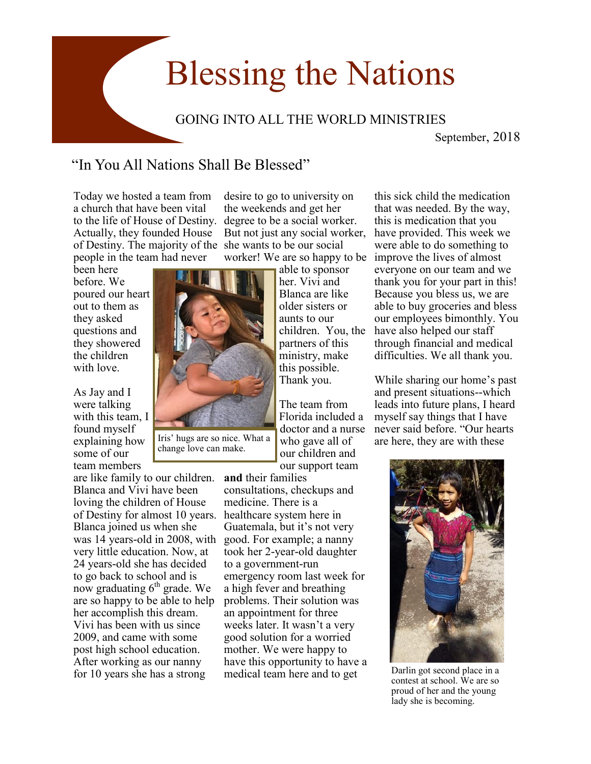## Blessing the Nations

## GOING INTO ALL THE WORLD MINISTRIES

September, 2018

## "In You All Nations Shall Be Blessed"

Iris' hugs are so nice. What a change love can make.

Today we hosted a team from a church that have been vital to the life of House of Destiny. degree to be a social worker. Actually, they founded House of Destiny. The majority of the she wants to be our social people in the team had never

been here before. We poured our heart out to them as they asked questions and they showered the children with love.

As Jay and I were talking with this team, I found myself explaining how some of our team members

are like family to our children. Blanca and Vivi have been loving the children of House of Destiny for almost 10 years. healthcare system here in Blanca joined us when she was 14 years-old in 2008, with good. For example; a nanny very little education. Now, at 24 years-old she has decided to go back to school and is now graduating  $6<sup>th</sup>$  grade. We are so happy to be able to help her accomplish this dream. Vivi has been with us since 2009, and came with some post high school education. After working as our nanny for 10 years she has a strong

desire to go to university on the weekends and get her But not just any social worker,

able to sponsor her. Vivi and Blanca are like older sisters or aunts to our partners of this ministry, make this possible. Thank you.

The team from Florida included a doctor and a nurse who gave all of our children and our support team

**and** their families consultations, checkups and medicine. There is a Guatemala, but it's not very took her 2-year-old daughter to a government-run emergency room last week for a high fever and breathing problems. Their solution was an appointment for three weeks later. It wasn't a very good solution for a worried mother. We were happy to have this opportunity to have a medical team here and to get

worker! We are so happy to be improve the lives of almost children. You, the have also helped our staff this sick child the medication that was needed. By the way, this is medication that you have provided. This week we were able to do something to everyone on our team and we thank you for your part in this! Because you bless us, we are able to buy groceries and bless our employees bimonthly. You through financial and medical difficulties. We all thank you.

> While sharing our home's past and present situations--which leads into future plans, I heard myself say things that I have never said before. "Our hearts are here, they are with these



Darlin got second place in a contest at school. We are so proud of her and the young lady she is becoming.